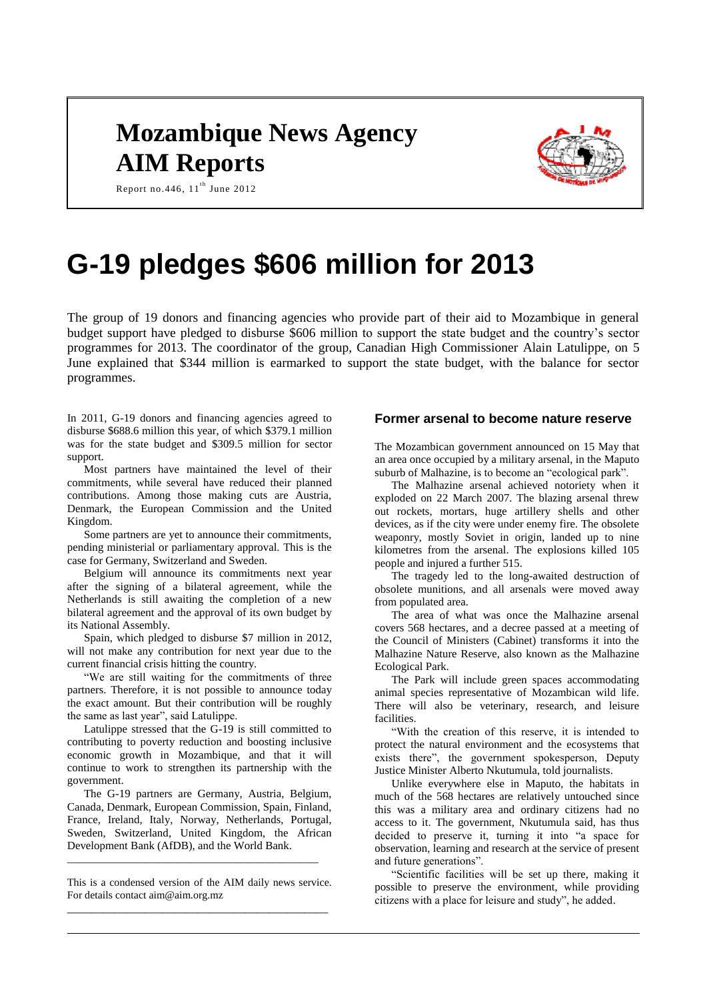# **Mozambique News Agency AIM Reports**



Report no. 446,  $11^{\text{th}}$  June 2012

# **G-19 pledges \$606 million for 2013**

The group of 19 donors and financing agencies who provide part of their aid to Mozambique in general budget support have pledged to disburse \$606 million to support the state budget and the country's sector programmes for 2013. The coordinator of the group, Canadian High Commissioner Alain Latulippe, on 5 June explained that \$344 million is earmarked to support the state budget, with the balance for sector programmes.

In 2011, G-19 donors and financing agencies agreed to disburse \$688.6 million this year, of which \$379.1 million was for the state budget and \$309.5 million for sector support.

Most partners have maintained the level of their commitments, while several have reduced their planned contributions. Among those making cuts are Austria, Denmark, the European Commission and the United Kingdom.

Some partners are yet to announce their commitments, pending ministerial or parliamentary approval. This is the case for Germany, Switzerland and Sweden.

Belgium will announce its commitments next year after the signing of a bilateral agreement, while the Netherlands is still awaiting the completion of a new bilateral agreement and the approval of its own budget by its National Assembly.

Spain, which pledged to disburse \$7 million in 2012, will not make any contribution for next year due to the current financial crisis hitting the country.

"We are still waiting for the commitments of three partners. Therefore, it is not possible to announce today the exact amount. But their contribution will be roughly the same as last year", said Latulippe.

Latulippe stressed that the G-19 is still committed to contributing to poverty reduction and boosting inclusive economic growth in Mozambique, and that it will continue to work to strengthen its partnership with the government.

The G-19 partners are Germany, Austria, Belgium, Canada, Denmark, European Commission, Spain, Finland, France, Ireland, Italy, Norway, Netherlands, Portugal, Sweden, Switzerland, United Kingdom, the African Development Bank (AfDB), and the World Bank.

This is a condensed version of the AIM daily news service. For details contact aim@aim.org.mz \_\_\_\_\_\_\_\_\_\_\_\_\_\_\_\_\_\_\_\_\_\_\_\_\_\_\_\_\_\_\_\_\_\_\_\_\_\_\_\_\_\_\_\_

\_\_\_\_\_\_\_\_\_\_\_\_\_\_\_\_\_\_\_\_\_\_\_\_\_\_\_\_\_\_\_\_\_\_\_\_\_\_\_\_\_\_\_\_\_\_\_

## **Former arsenal to become nature reserve**

The Mozambican government announced on 15 May that an area once occupied by a military arsenal, in the Maputo suburb of Malhazine, is to become an "ecological park".

The Malhazine arsenal achieved notoriety when it exploded on 22 March 2007. The blazing arsenal threw out rockets, mortars, huge artillery shells and other devices, as if the city were under enemy fire. The obsolete weaponry, mostly Soviet in origin, landed up to nine kilometres from the arsenal. The explosions killed 105 people and injured a further 515.

The tragedy led to the long-awaited destruction of obsolete munitions, and all arsenals were moved away from populated area.

The area of what was once the Malhazine arsenal covers 568 hectares, and a decree passed at a meeting of the Council of Ministers (Cabinet) transforms it into the Malhazine Nature Reserve, also known as the Malhazine Ecological Park.

The Park will include green spaces accommodating animal species representative of Mozambican wild life. There will also be veterinary, research, and leisure facilities.

"With the creation of this reserve, it is intended to protect the natural environment and the ecosystems that exists there", the government spokesperson, Deputy Justice Minister Alberto Nkutumula, told journalists.

Unlike everywhere else in Maputo, the habitats in much of the 568 hectares are relatively untouched since this was a military area and ordinary citizens had no access to it. The government, Nkutumula said, has thus decided to preserve it, turning it into "a space for observation, learning and research at the service of present and future generations".

"Scientific facilities will be set up there, making it possible to preserve the environment, while providing citizens with a place for leisure and study", he added.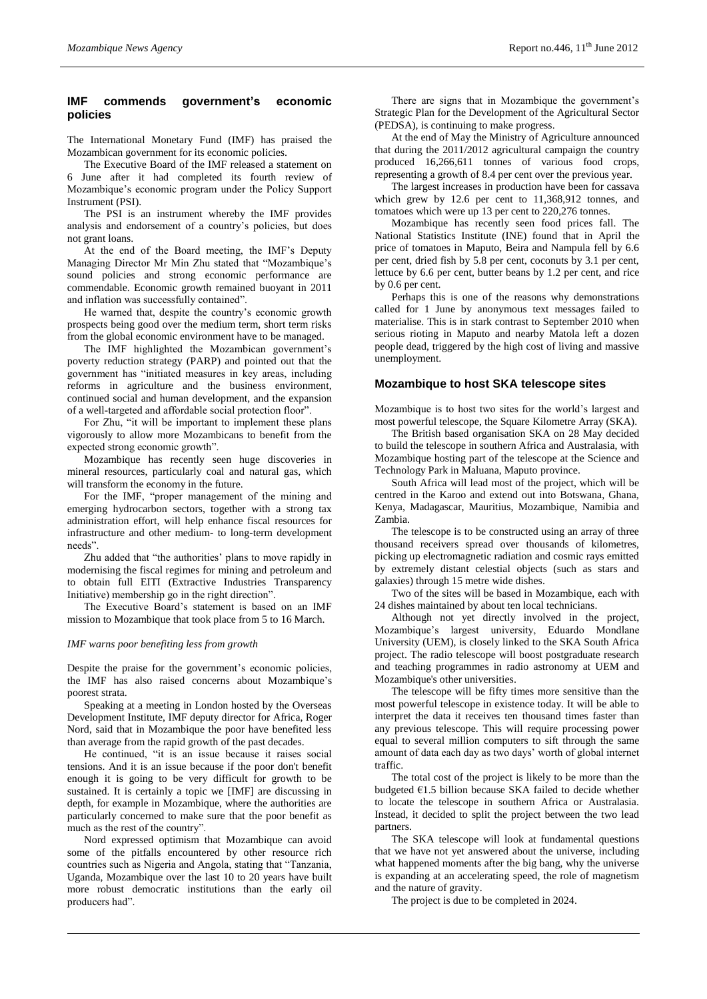# **IMF commends government's economic policies**

The International Monetary Fund (IMF) has praised the Mozambican government for its economic policies.

The Executive Board of the IMF released a statement on 6 June after it had completed its fourth review of Mozambique's economic program under the Policy Support Instrument (PSI).

The PSI is an instrument whereby the IMF provides analysis and endorsement of a country's policies, but does not grant loans.

At the end of the Board meeting, the IMF's Deputy Managing Director Mr Min Zhu stated that "Mozambique's sound policies and strong economic performance are commendable. Economic growth remained buoyant in 2011 and inflation was successfully contained".

He warned that, despite the country's economic growth prospects being good over the medium term, short term risks from the global economic environment have to be managed.

The IMF highlighted the Mozambican government's poverty reduction strategy (PARP) and pointed out that the government has "initiated measures in key areas, including reforms in agriculture and the business environment, continued social and human development, and the expansion of a well-targeted and affordable social protection floor".

For Zhu, "it will be important to implement these plans vigorously to allow more Mozambicans to benefit from the expected strong economic growth".

Mozambique has recently seen huge discoveries in mineral resources, particularly coal and natural gas, which will transform the economy in the future.

For the IMF, "proper management of the mining and emerging hydrocarbon sectors, together with a strong tax administration effort, will help enhance fiscal resources for infrastructure and other medium- to long-term development needs".

Zhu added that "the authorities' plans to move rapidly in modernising the fiscal regimes for mining and petroleum and to obtain full EITI (Extractive Industries Transparency Initiative) membership go in the right direction".

The Executive Board's statement is based on an IMF mission to Mozambique that took place from 5 to 16 March.

#### *IMF warns poor benefiting less from growth*

Despite the praise for the government's economic policies, the IMF has also raised concerns about Mozambique's poorest strata.

Speaking at a meeting in London hosted by the Overseas Development Institute, IMF deputy director for Africa, Roger Nord, said that in Mozambique the poor have benefited less than average from the rapid growth of the past decades.

He continued, "it is an issue because it raises social tensions. And it is an issue because if the poor don't benefit enough it is going to be very difficult for growth to be sustained. It is certainly a topic we [IMF] are discussing in depth, for example in Mozambique, where the authorities are particularly concerned to make sure that the poor benefit as much as the rest of the country".

Nord expressed optimism that Mozambique can avoid some of the pitfalls encountered by other resource rich countries such as Nigeria and Angola, stating that "Tanzania, Uganda, Mozambique over the last 10 to 20 years have built more robust democratic institutions than the early oil producers had".

There are signs that in Mozambique the government's Strategic Plan for the Development of the Agricultural Sector (PEDSA), is continuing to make progress.

At the end of May the Ministry of Agriculture announced that during the 2011/2012 agricultural campaign the country produced 16,266,611 tonnes of various food crops, representing a growth of 8.4 per cent over the previous year.

The largest increases in production have been for cassava which grew by 12.6 per cent to 11,368,912 tonnes, and tomatoes which were up 13 per cent to 220,276 tonnes.

Mozambique has recently seen food prices fall. The National Statistics Institute (INE) found that in April the price of tomatoes in Maputo, Beira and Nampula fell by 6.6 per cent, dried fish by 5.8 per cent, coconuts by 3.1 per cent, lettuce by 6.6 per cent, butter beans by 1.2 per cent, and rice by 0.6 per cent.

Perhaps this is one of the reasons why demonstrations called for 1 June by anonymous text messages failed to materialise. This is in stark contrast to September 2010 when serious rioting in Maputo and nearby Matola left a dozen people dead, triggered by the high cost of living and massive unemployment.

#### **Mozambique to host SKA telescope sites**

Mozambique is to host two sites for the world's largest and most powerful telescope, the Square Kilometre Array (SKA).

The British based organisation SKA on 28 May decided to build the telescope in southern Africa and Australasia, with Mozambique hosting part of the telescope at the Science and Technology Park in Maluana, Maputo province.

South Africa will lead most of the project, which will be centred in the Karoo and extend out into Botswana, Ghana, Kenya, Madagascar, Mauritius, Mozambique, Namibia and Zambia.

The telescope is to be constructed using an array of three thousand receivers spread over thousands of kilometres, picking up electromagnetic radiation and cosmic rays emitted by extremely distant celestial objects (such as stars and galaxies) through 15 metre wide dishes.

Two of the sites will be based in Mozambique, each with 24 dishes maintained by about ten local technicians.

Although not yet directly involved in the project, Mozambique's largest university, Eduardo Mondlane University (UEM), is closely linked to the SKA South Africa project. The radio telescope will boost postgraduate research and teaching programmes in radio astronomy at UEM and Mozambique's other universities.

The telescope will be fifty times more sensitive than the most powerful telescope in existence today. It will be able to interpret the data it receives ten thousand times faster than any previous telescope. This will require processing power equal to several million computers to sift through the same amount of data each day as two days' worth of global internet traffic.

The total cost of the project is likely to be more than the budgeted €1.5 billion because SKA failed to decide whether to locate the telescope in southern Africa or Australasia. Instead, it decided to split the project between the two lead partners.

The SKA telescope will look at fundamental questions that we have not yet answered about the universe, including what happened moments after the big bang, why the universe is expanding at an accelerating speed, the role of magnetism and the nature of gravity.

The project is due to be completed in 2024.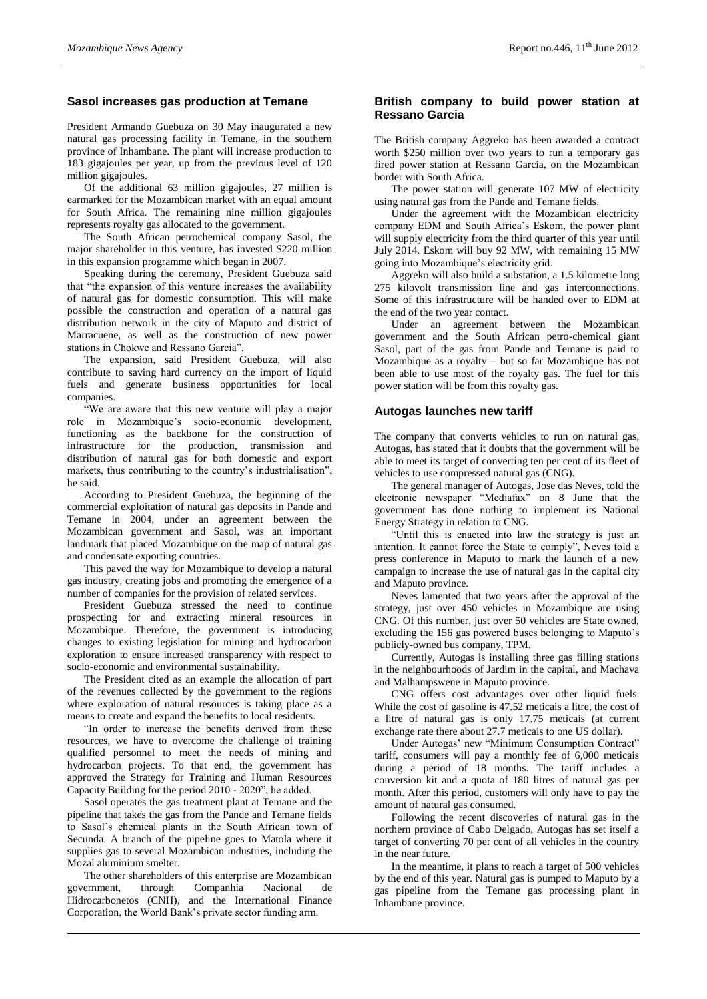#### **Sasol increases gas production at Temane**

President Armando Guebuza on 30 May inaugurated a new natural gas processing facility in Temane, in the southern province of Inhambane. The plant will increase production to 183 gigajoules per year, up from the previous level of 120 million gigajoules.

Of the additional 63 million gigajoules, 27 million is earmarked for the Mozambican market with an equal amount for South Africa. The remaining nine million gigajoules represents royalty gas allocated to the government.

The South African petrochemical company Sasol, the major shareholder in this venture, has invested \$220 million in this expansion programme which began in 2007.

Speaking during the ceremony, President Guebuza said that "the expansion of this venture increases the availability of natural gas for domestic consumption. This will make possible the construction and operation of a natural gas distribution network in the city of Maputo and district of Marracuene, as well as the construction of new power stations in Chokwe and Ressano Garcia".

The expansion, said President Guebuza, will also contribute to saving hard currency on the import of liquid fuels and generate business opportunities for local companies.

"We are aware that this new venture will play a major role in Mozambique's socio-economic development, functioning as the backbone for the construction of infrastructure for the production, transmission and distribution of natural gas for both domestic and export markets, thus contributing to the country's industrialisation", he said.

According to President Guebuza, the beginning of the commercial exploitation of natural gas deposits in Pande and Temane in 2004, under an agreement between the Mozambican government and Sasol, was an important landmark that placed Mozambique on the map of natural gas and condensate exporting countries.

This paved the way for Mozambique to develop a natural gas industry, creating jobs and promoting the emergence of a number of companies for the provision of related services.

President Guebuza stressed the need to continue prospecting for and extracting mineral resources in Mozambique. Therefore, the government is introducing changes to existing legislation for mining and hydrocarbon exploration to ensure increased transparency with respect to socio-economic and environmental sustainability.

The President cited as an example the allocation of part of the revenues collected by the government to the regions where exploration of natural resources is taking place as a means to create and expand the benefits to local residents.

"In order to increase the benefits derived from these resources, we have to overcome the challenge of training qualified personnel to meet the needs of mining and hydrocarbon projects. To that end, the government has approved the Strategy for Training and Human Resources Capacity Building for the period 2010 - 2020", he added.

Sasol operates the gas treatment plant at Temane and the pipeline that takes the gas from the Pande and Temane fields to Sasol's chemical plants in the South African town of Secunda. A branch of the pipeline goes to Matola where it supplies gas to several Mozambican industries, including the Mozal aluminium smelter.

The other shareholders of this enterprise are Mozambican government, through Companhia Nacional de Hidrocarbonetos (CNH), and the International Finance Corporation, the World Bank's private sector funding arm.

#### **British company to build power station at Ressano Garcia**

The British company Aggreko has been awarded a contract worth \$250 million over two years to run a temporary gas fired power station at Ressano Garcia, on the Mozambican border with South Africa.

The power station will generate 107 MW of electricity using natural gas from the Pande and Temane fields.

Under the agreement with the Mozambican electricity company EDM and South Africa's Eskom, the power plant will supply electricity from the third quarter of this year until July 2014. Eskom will buy 92 MW, with remaining 15 MW going into Mozambique's electricity grid.

Aggreko will also build a substation, a 1.5 kilometre long 275 kilovolt transmission line and gas interconnections. Some of this infrastructure will be handed over to EDM at the end of the two year contact.

Under an agreement between the Mozambican government and the South African petro-chemical giant Sasol, part of the gas from Pande and Temane is paid to Mozambique as a royalty – but so far Mozambique has not been able to use most of the royalty gas. The fuel for this power station will be from this royalty gas.

#### **Autogas launches new tariff**

The company that converts vehicles to run on natural gas, Autogas, has stated that it doubts that the government will be able to meet its target of converting ten per cent of its fleet of vehicles to use compressed natural gas (CNG).

The general manager of Autogas, Jose das Neves, told the electronic newspaper "Mediafax" on 8 June that the government has done nothing to implement its National Energy Strategy in relation to CNG.

"Until this is enacted into law the strategy is just an intention. It cannot force the State to comply", Neves told a press conference in Maputo to mark the launch of a new campaign to increase the use of natural gas in the capital city and Maputo province.

Neves lamented that two years after the approval of the strategy, just over 450 vehicles in Mozambique are using CNG. Of this number, just over 50 vehicles are State owned, excluding the 156 gas powered buses belonging to Maputo's publicly-owned bus company, TPM.

Currently, Autogas is installing three gas filling stations in the neighbourhoods of Jardim in the capital, and Machava and Malhampswene in Maputo province.

CNG offers cost advantages over other liquid fuels. While the cost of gasoline is 47.52 meticais a litre, the cost of a litre of natural gas is only 17.75 meticais (at current exchange rate there about 27.7 meticais to one US dollar).

Under Autogas' new "Minimum Consumption Contract" tariff, consumers will pay a monthly fee of 6,000 meticais during a period of 18 months. The tariff includes a conversion kit and a quota of 180 litres of natural gas per month. After this period, customers will only have to pay the amount of natural gas consumed.

Following the recent discoveries of natural gas in the northern province of Cabo Delgado, Autogas has set itself a target of converting 70 per cent of all vehicles in the country in the near future.

In the meantime, it plans to reach a target of 500 vehicles by the end of this year. Natural gas is pumped to Maputo by a gas pipeline from the Temane gas processing plant in Inhambane province.